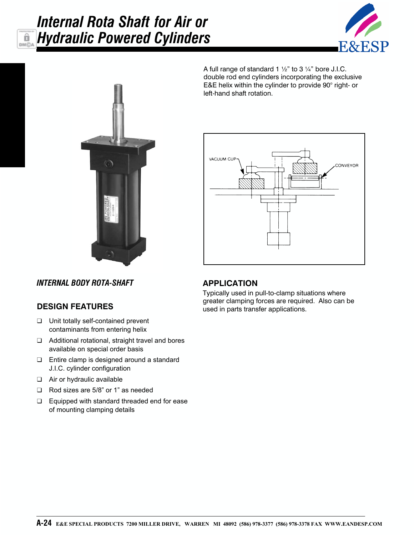### *Internal Rota Shaft for Air or Hydraulic Powered Cylinders*â DM<sub>C</sub>





A full range of standard 1  $\frac{1}{2}$ " to 3  $\frac{1}{4}$ " bore J.I.C. double rod end cylinders incorporating the exclusive E&E helix within the cylinder to provide 90° right- or left-hand shaft rotation.



*INTERNAL BODY ROTA-SHAFT*

## **DESIGN FEATURES**

- ❑ Unit totally self-contained prevent contaminants from entering helix
- ❑ Additional rotational, straight travel and bores available on special order basis
- ❑ Entire clamp is designed around a standard J.I.C. cylinder configuration
- ❑ Air or hydraulic available
- ❑ Rod sizes are 5/8" or 1" as needed
- ❑ Equipped with standard threaded end for ease of mounting clamping details

## **APPLICATION**

Typically used in pull-to-clamp situations where greater clamping forces are required. Also can be used in parts transfer applications.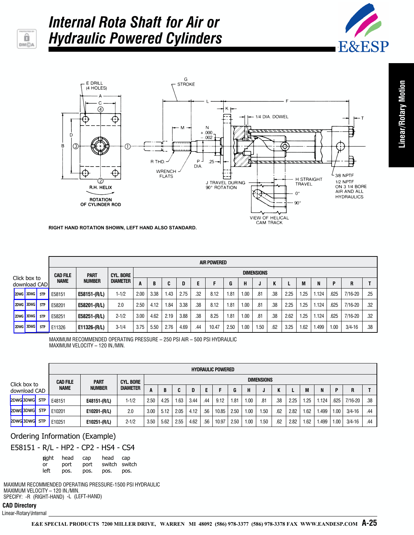

## *Internal Rota Shaft for Air or Hydraulic Powered Cylinders*





**RIGHT HAND ROTATION SHOWN, LEFT HAND ALSO STANDARD.**

|                                       |           |                                                                         | <b>AIR POWERED</b> |               |                 |      |      |      |      |     |       |      |      |      |     |      |      |       |      |             |     |
|---------------------------------------|-----------|-------------------------------------------------------------------------|--------------------|---------------|-----------------|------|------|------|------|-----|-------|------|------|------|-----|------|------|-------|------|-------------|-----|
|                                       |           | <b>DIMENSIONS</b><br><b>CYL. BORE</b><br><b>PART</b><br><b>CAD FILE</b> |                    |               |                 |      |      |      |      |     |       |      |      |      |     |      |      |       |      |             |     |
| Click box to<br>download CAD <b>I</b> |           |                                                                         | <b>NAME</b>        | <b>NUMBER</b> | <b>DIAMETER</b> | A    |      |      |      |     |       | G    | н    | J    | n   |      | M    | N     | P    | R           |     |
|                                       | 2DWG 3DWG | <b>STP</b>                                                              | E58151             | E58151-(R/L)  | $1 - 1/2$       | 2.00 | 3.38 | 1.43 | 2.75 | .32 | 8.12  | 1.81 | 1.00 | .81  | .38 | 2.25 | 1.25 | 1.124 | .625 | $7/16 - 20$ | .25 |
|                                       | 2DWG 3DWG | <b>STP</b>                                                              | E58201             | E58201-(R/L)  | 2.0             | 2.50 | 4.12 | 1.84 | 3.38 | .38 | 8.12  | 1.81 | 1.00 | .81  | .38 | 2.25 | 1.25 | 1.124 | .625 | 7/16-20     | .32 |
|                                       | 2DWG 3DWG | <b>STP</b>                                                              | E58251             | E58251-(R/L)  | $2 - 1/2$       | 3.00 | 4.62 | 2.19 | 3.88 | .38 | 8.25  | 1.81 | 1.00 | .81  | .38 | 2.62 | 1.25 | 1.124 | .625 | $7/16 - 20$ | .32 |
|                                       | 2DWG 3DWG | <b>STP</b>                                                              | E11326             | E11326-(R/L)  | $3 - 1/4$       | 3.75 | 5.50 | 2.76 | 4.69 | .44 | 10.47 | 2.50 | 1.00 | 1.50 | .62 | 3.25 | 1.62 | 1.499 | 1.00 | $3/4 - 16$  | .38 |

MAXIMUM RECOMMENDED OPERATING PRESSURE – 250 PSI AIR – 500 PSI HYDRAULIC MAXIMUM VELOCITY – 120 IN./MIN.

|                              |               |             |                 | <b>HYDRAULIC POWERED</b> |                  |      |      |      |      |     |       |      |      |                   |     |      |      |       |      |             |     |
|------------------------------|---------------|-------------|-----------------|--------------------------|------------------|------|------|------|------|-----|-------|------|------|-------------------|-----|------|------|-------|------|-------------|-----|
|                              |               |             | <b>CAD FILE</b> | <b>PART</b>              | <b>CYL. BORE</b> |      |      |      |      |     |       |      |      | <b>DIMENSIONS</b> |     |      |      |       |      |             |     |
| Click box to<br>download CAD |               | <b>NAME</b> | <b>NUMBER</b>   | <b>DIAMETER</b>          | A                | B    | C    | D    | Е    |     | G     | Н    | J    | K                 |     | M    | N    | P     | R    |             |     |
|                              | 2DWG 3DWG     | <b>STP</b>  | E48151          | E48151-(R/L)             | $1 - 1/2$        | 2.50 | 4.25 | 1.63 | 3.44 | .44 | 9.12  | 1.81 | 1.00 | .81               | .38 | 2.25 | 1.25 | .124  | .625 | $7/16 - 20$ | .38 |
|                              | 2DWG3DWG      | <b>STP</b>  | E10201          | E10201-(R/L)             | 2.0              | 3.00 | 5.12 | 2.05 | 4.12 | .56 | 10.85 | 2.50 | 1.00 | 1.50              | .62 | 2.82 | 1.62 | 1.499 | 1.00 | $3/4 - 16$  | .44 |
|                              | 2DWG 3DWG STP |             | E10251          | $E10251-(R/L)$           | $2 - 1/2$        | 3.50 | 5.62 | 2.55 | 4.62 | .56 | 10.97 | 2.50 | 1.00 | 1.50              | .62 | 2.82 | 1.62 | 1.499 | 1.00 | $3/4 - 16$  | .44 |

# Ordering Information (Example)<br>E58151 - R/L - HP2 - CP2 - HS4 - CS4

| <b>n</b> ight | head | cap  | head cap      |      |
|---------------|------|------|---------------|------|
| or            | port | port | switch switch |      |
| left          | pos. | pos. | pos.          | pos. |

MAXIMUM RECOMMENDED OPERATING PRESSURE-1500 PSI HYDRAULIC MAXIMUM VELOCITY – 120 IN./MIN. SPECIFY: -R (RIGHT-HAND) -L (LEFT-HAND)

#### **CAD Directory**

Linear-Rotary\Internal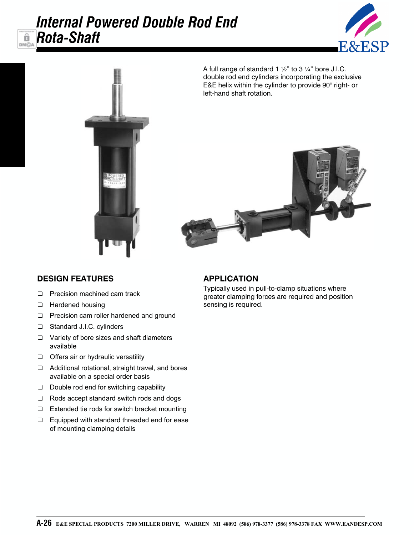# *Internal Powered Double Rod End Rota-Shaft*





A full range of standard 1  $\frac{1}{2}$ " to 3  $\frac{1}{4}$ " bore J.I.C. double rod end cylinders incorporating the exclusive E&E helix within the cylinder to provide 90° right- or left-hand shaft rotation.



### **DESIGN FEATURES**

ô

**DMC** 

- ❑ Precision machined cam track
- ❑ Hardened housing
- ❑ Precision cam roller hardened and ground
- ❑ Standard J.I.C. cylinders
- ❑ Variety of bore sizes and shaft diameters available
- ❑ Offers air or hydraulic versatility
- ❑ Additional rotational, straight travel, and bores available on a special order basis
- ❑ Double rod end for switching capability
- ❑ Rods accept standard switch rods and dogs
- ❑ Extended tie rods for switch bracket mounting
- ❑ Equipped with standard threaded end for ease of mounting clamping details

### **APPLICATION**

Typically used in pull-to-clamp situations where greater clamping forces are required and position sensing is required.